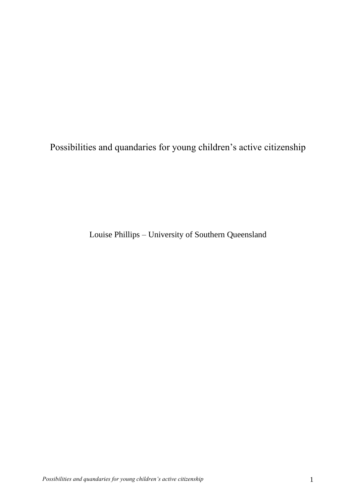Possibilities and quandaries for young children's active citizenship

Louise Phillips – University of Southern Queensland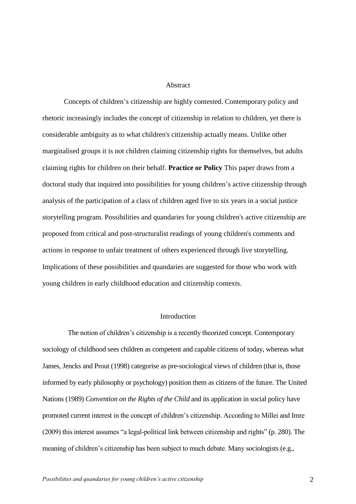### Abstract

Concepts of children's citizenship are highly contested. Contemporary policy and rhetoric increasingly includes the concept of citizenship in relation to children, yet there is considerable ambiguity as to what children's citizenship actually means. Unlike other marginalised groups it is not children claiming citizenship rights for themselves, but adults claiming rights for children on their behalf. **Practice or Policy** This paper draws from a doctoral study that inquired into possibilities for young children's active citizenship through analysis of the participation of a class of children aged five to six years in a social justice storytelling program. Possibilities and quandaries for young children's active citizenship are proposed from critical and post-structuralist readings of young children's comments and actions in response to unfair treatment of others experienced through live storytelling. Implications of these possibilities and quandaries are suggested for those who work with young children in early childhood education and citizenship contexts.

## Introduction

The notion of children's citizenship is a recently theorized concept. Contemporary sociology of childhood sees children as competent and capable citizens of today, whereas what James, Jencks and Prout (1998) categorise as pre-sociological views of children (that is, those informed by early philosophy or psychology) position them as citizens of the future. The United Nations (1989) *Convention on the Rights of the Child* and its application in social policy have promoted current interest in the concept of children's citizenship. According to Millei and Imre  $(2009)$  this interest assumes "a legal-political link between citizenship and rights" (p. 280). The meaning of children's citizenship has been subject to much debate. Many sociologists (e.g.,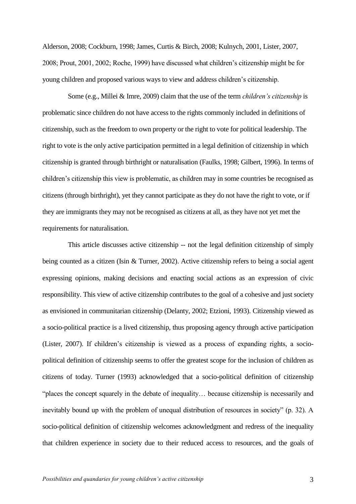Alderson, 2008; Cockburn, 1998; James, Curtis & Birch, 2008; Kulnych, 2001, Lister, 2007, 2008; Prout, 2001, 2002; Roche, 1999) have discussed what children's citizenship might be for young children and proposed various ways to view and address children's citizenship.

Some (e.g., Millei & Imre, 2009) claim that the use of the term *children's citizenship* is problematic since children do not have access to the rights commonly included in definitions of citizenship, such as the freedom to own property or the right to vote for political leadership. The right to vote is the only active participation permitted in a legal definition of citizenship in which citizenship is granted through birthright or naturalisation (Faulks, 1998; Gilbert, 1996). In terms of children's citizenship this view is problematic, as children may in some countries be recognised as citizens (through birthright), yet they cannot participate as they do not have the right to vote, or if they are immigrants they may not be recognised as citizens at all, as they have not yet met the requirements for naturalisation.

This article discusses active citizenship -- not the legal definition citizenship of simply being counted as a citizen (Isin & Turner, 2002). Active citizenship refers to being a social agent expressing opinions, making decisions and enacting social actions as an expression of civic responsibility. This view of active citizenship contributes to the goal of a cohesive and just society as envisioned in communitarian citizenship (Delanty, 2002; Etzioni, 1993). Citizenship viewed as a socio-political practice is a lived citizenship, thus proposing agency through active participation (Lister, 2007). If children's citizenship is viewed as a process of expanding rights, a sociopolitical definition of citizenship seems to offer the greatest scope for the inclusion of children as citizens of today. Turner (1993) acknowledged that a socio-political definition of citizenship ―places the concept squarely in the debate of inequality… because citizenship is necessarily and inevitably bound up with the problem of unequal distribution of resources in society" (p. 32). A socio-political definition of citizenship welcomes acknowledgment and redress of the inequality that children experience in society due to their reduced access to resources, and the goals of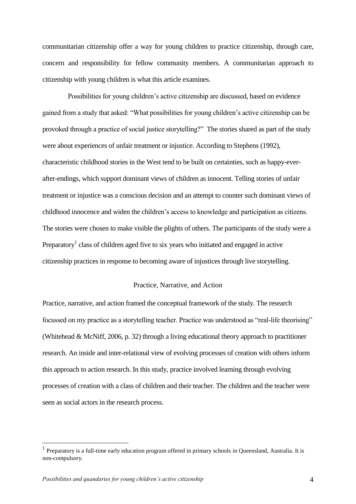communitarian citizenship offer a way for young children to practice citizenship, through care, concern and responsibility for fellow community members. A communitarian approach to citizenship with young children is what this article examines.

Possibilities for young children's active citizenship are discussed, based on evidence gained from a study that asked: "What possibilities for young children's active citizenship can be provoked through a practice of social justice storytelling?" The stories shared as part of the study were about experiences of unfair treatment or injustice. According to Stephens (1992), characteristic childhood stories in the West tend to be built on certainties, such as happy-everafter-endings, which support dominant views of children as innocent. Telling stories of unfair treatment or injustice was a conscious decision and an attempt to counter such dominant views of childhood innocence and widen the children's access to knowledge and participation as citizens. The stories were chosen to make visible the plights of others. The participants of the study were a Preparatory<sup>1</sup> class of children aged five to six years who initiated and engaged in active citizenship practices in response to becoming aware of injustices through live storytelling.

## Practice, Narrative, and Action

Practice, narrative, and action framed the conceptual framework of the study. The research focussed on my practice as a storytelling teacher. Practice was understood as "real-life theorising" (Whitehead & McNiff, 2006, p. 32) through a living educational theory approach to practitioner research. An inside and inter-relational view of evolving processes of creation with others inform this approach to action research. In this study, practice involved learning through evolving processes of creation with a class of children and their teacher. The children and the teacher were seen as social actors in the research process.

 $\overline{a}$ 

<sup>1</sup> Preparatory is a full-time early education program offered in primary schools in Queensland, Australia. It is non-compulsory.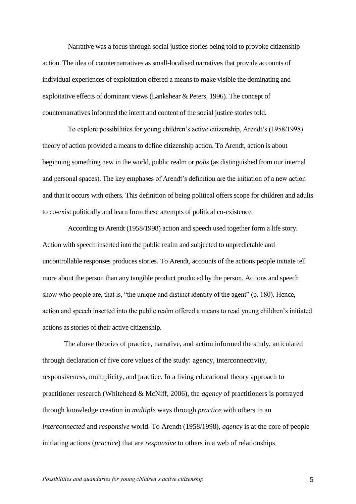Narrative was a focus through social justice stories being told to provoke citizenship action. The idea of counternarratives as small-localised narratives that provide accounts of individual experiences of exploitation offered a means to make visible the dominating and exploitative effects of dominant views (Lankshear & Peters, 1996). The concept of counternarratives informed the intent and content of the social justice stories told.

To explore possibilities for young children's active citizenship, Arendt's (1958/1998) theory of action provided a means to define citizenship action. To Arendt, action is about beginning something new in the world, public realm or *polis* (as distinguished from our internal and personal spaces). The key emphases of Arendt's definition are the initiation of a new action and that it occurs with others. This definition of being political offers scope for children and adults to co-exist politically and learn from these attempts of political co-existence.

According to Arendt (1958/1998) action and speech used together form a life story. Action with speech inserted into the public realm and subjected to unpredictable and uncontrollable responses produces stories. To Arendt, accounts of the actions people initiate tell more about the person than any tangible product produced by the person. Actions and speech show who people are, that is, "the unique and distinct identity of the agent" (p. 180). Hence, action and speech inserted into the public realm offered a means to read young children's initiated actions as stories of their active citizenship.

The above theories of practice, narrative, and action informed the study, articulated through declaration of five core values of the study: agency, interconnectivity, responsiveness, multiplicity, and practice. In a living educational theory approach to practitioner research (Whitehead & McNiff, 2006), the *agency* of practitioners is portrayed through knowledge creation in *multiple* ways through *practice* with others in an *interconnected* and *responsive* world. To Arendt (1958/1998), *agency* is at the core of people initiating actions (*practice*) that are *responsive* to others in a web of relationships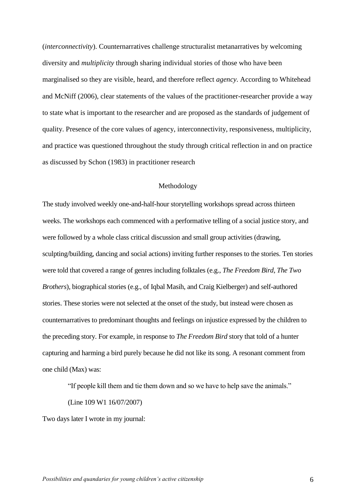(*interconnectivity*). Counternarratives challenge structuralist metanarratives by welcoming diversity and *multiplicity* through sharing individual stories of those who have been marginalised so they are visible, heard, and therefore reflect *agency*. According to Whitehead and McNiff (2006), clear statements of the values of the practitioner-researcher provide a way to state what is important to the researcher and are proposed as the standards of judgement of quality. Presence of the core values of agency, interconnectivity, responsiveness, multiplicity, and practice was questioned throughout the study through critical reflection in and on practice as discussed by Schon (1983) in practitioner research

## Methodology

The study involved weekly one-and-half-hour storytelling workshops spread across thirteen weeks. The workshops each commenced with a performative telling of a social justice story, and were followed by a whole class critical discussion and small group activities (drawing, sculpting/building, dancing and social actions) inviting further responses to the stories. Ten stories were told that covered a range of genres including folktales (e.g., *The Freedom Bird*, *The Two Brothers*), biographical stories (e.g., of Iqbal Masih, and Craig Kielberger) and self-authored stories. These stories were not selected at the onset of the study, but instead were chosen as counternarratives to predominant thoughts and feelings on injustice expressed by the children to the preceding story. For example, in response to *The Freedom Bird* story that told of a hunter capturing and harming a bird purely because he did not like its song. A resonant comment from one child (Max) was:

"If people kill them and tie them down and so we have to help save the animals."

(Line 109 W1 16/07/2007)

Two days later I wrote in my journal: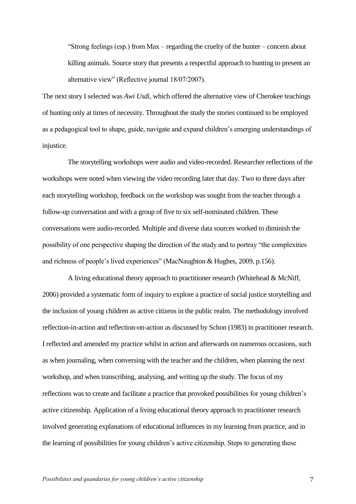―Strong feelings (esp.) from Max – regarding the cruelty of the hunter – concern about killing animals. Source story that presents a respectful approach to hunting to present an alternative view" (Reflective journal 18/07/2007).

The next story I selected was *Awi Usdi*, which offered the alternative view of Cherokee teachings of hunting only at times of necessity. Throughout the study the stories continued to be employed as a pedagogical tool to shape, guide, navigate and expand children's emerging understandings of injustice.

The storytelling workshops were audio and video-recorded. Researcher reflections of the workshops were noted when viewing the video recording later that day. Two to three days after each storytelling workshop, feedback on the workshop was sought from the teacher through a follow-up conversation and with a group of five to six self-nominated children. These conversations were audio-recorded. Multiple and diverse data sources worked to diminish the possibility of one perspective shaping the direction of the study and to portray "the complexities" and richness of people's lived experiences" (MacNaughton & Hughes, 2009, p.156).

A living educational theory approach to practitioner research (Whitehead & McNiff, 2006) provided a systematic form of inquiry to explore a practice of social justice storytelling and the inclusion of young children as active citizens in the public realm. The methodology involved reflection-in-action and reflection-on-action as discussed by Schon (1983) in practitioner research. I reflected and amended my practice whilst in action and afterwards on numerous occasions, such as when journaling, when conversing with the teacher and the children, when planning the next workshop, and when transcribing, analysing, and writing up the study. The focus of my reflections was to create and facilitate a practice that provoked possibilities for young children's active citizenship. Application of a living educational theory approach to practitioner research involved generating explanations of educational influences in my learning from practice, and in the learning of possibilities for young children's active citizenship. Steps to generating these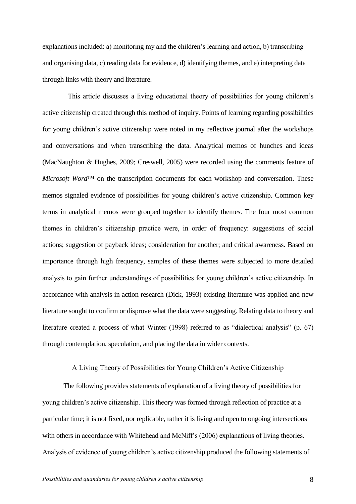explanations included: a) monitoring my and the children's learning and action, b) transcribing and organising data, c) reading data for evidence, d) identifying themes, and e) interpreting data through links with theory and literature.

This article discusses a living educational theory of possibilities for young children's active citizenship created through this method of inquiry. Points of learning regarding possibilities for young children's active citizenship were noted in my reflective journal after the workshops and conversations and when transcribing the data. Analytical memos of hunches and ideas (MacNaughton & Hughes, 2009; Creswell, 2005) were recorded using the comments feature of *Microsoft Word*™ on the transcription documents for each workshop and conversation. These memos signaled evidence of possibilities for young children's active citizenship. Common key terms in analytical memos were grouped together to identify themes. The four most common themes in children's citizenship practice were, in order of frequency: suggestions of social actions; suggestion of payback ideas; consideration for another; and critical awareness. Based on importance through high frequency, samples of these themes were subjected to more detailed analysis to gain further understandings of possibilities for young children's active citizenship. In accordance with analysis in action research (Dick, 1993) existing literature was applied and new literature sought to confirm or disprove what the data were suggesting. Relating data to theory and literature created a process of what Winter  $(1998)$  referred to as "dialectical analysis" (p. 67) through contemplation, speculation, and placing the data in wider contexts.

## A Living Theory of Possibilities for Young Children's Active Citizenship

The following provides statements of explanation of a living theory of possibilities for young children's active citizenship. This theory was formed through reflection of practice at a particular time; it is not fixed, nor replicable, rather it is living and open to ongoing intersections with others in accordance with Whitehead and McNiff's (2006) explanations of living theories. Analysis of evidence of young children's active citizenship produced the following statements of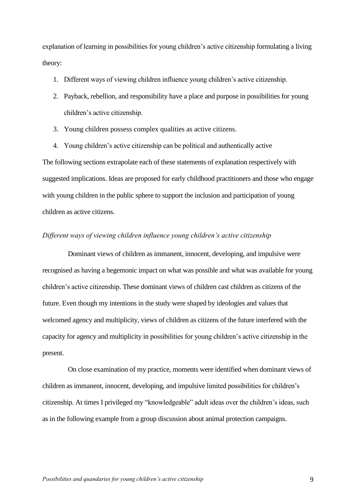explanation of learning in possibilities for young children's active citizenship formulating a living theory:

- 1. Different ways of viewing children influence young children's active citizenship.
- 2. Payback, rebellion, and responsibility have a place and purpose in possibilities for young children's active citizenship.
- 3. Young children possess complex qualities as active citizens.
- 4. Young children's active citizenship can be political and authentically active

The following sections extrapolate each of these statements of explanation respectively with suggested implications. Ideas are proposed for early childhood practitioners and those who engage with young children in the public sphere to support the inclusion and participation of young children as active citizens.

## *Different ways of viewing children influence young children's active citizenship*

Dominant views of children as immanent, innocent, developing, and impulsive were recognised as having a hegemonic impact on what was possible and what was available for young children's active citizenship. These dominant views of children cast children as citizens of the future. Even though my intentions in the study were shaped by ideologies and values that welcomed agency and multiplicity, views of children as citizens of the future interfered with the capacity for agency and multiplicity in possibilities for young children's active citizenship in the present.

On close examination of my practice, moments were identified when dominant views of children as immanent, innocent, developing, and impulsive limited possibilities for children's citizenship. At times I privileged my "knowledgeable" adult ideas over the children's ideas, such as in the following example from a group discussion about animal protection campaigns.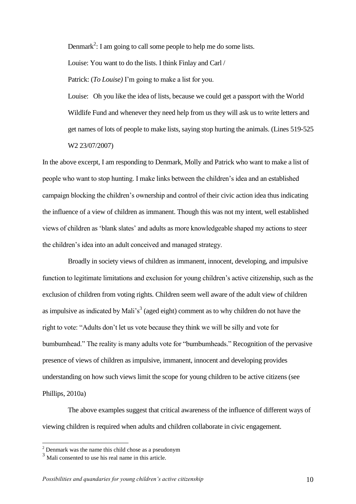Denmark<sup>2</sup>: I am going to call some people to help me do some lists.

Louise: You want to do the lists. I think Finlay and Carl /

Patrick: (*To Louise)* I'm going to make a list for you.

Louise: Oh you like the idea of lists, because we could get a passport with the World Wildlife Fund and whenever they need help from us they will ask us to write letters and get names of lots of people to make lists, saying stop hurting the animals. (Lines 519-525 W2 23/07/2007)

In the above excerpt, I am responding to Denmark, Molly and Patrick who want to make a list of people who want to stop hunting. I make links between the children's idea and an established campaign blocking the children's ownership and control of their civic action idea thus indicating the influence of a view of children as immanent. Though this was not my intent, well established views of children as ‗blank slates' and adults as more knowledgeable shaped my actions to steer the children's idea into an adult conceived and managed strategy.

Broadly in society views of children as immanent, innocent, developing, and impulsive function to legitimate limitations and exclusion for young children's active citizenship, such as the exclusion of children from voting rights. Children seem well aware of the adult view of children as impulsive as indicated by Mali's<sup>3</sup> (aged eight) comment as to why children do not have the right to vote: "Adults don't let us vote because they think we will be silly and vote for bumbumhead." The reality is many adults vote for "bumbumheads." Recognition of the pervasive presence of views of children as impulsive, immanent, innocent and developing provides understanding on how such views limit the scope for young children to be active citizens (see Phillips, 2010a)

The above examples suggest that critical awareness of the influence of different ways of viewing children is required when adults and children collaborate in civic engagement.

 $\overline{a}$ 

 $2$  Denmark was the name this child chose as a pseudonym

<sup>&</sup>lt;sup>3</sup> Mali consented to use his real name in this article.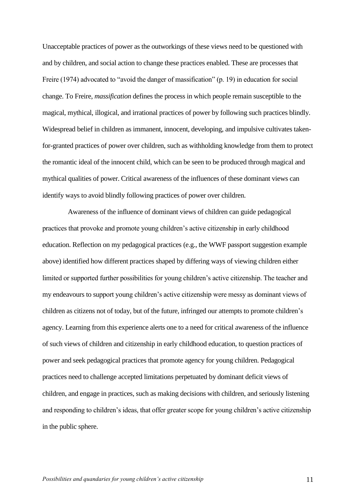Unacceptable practices of power as the outworkings of these views need to be questioned with and by children, and social action to change these practices enabled. These are processes that Freire (1974) advocated to "avoid the danger of massification" (p. 19) in education for social change. To Freire, *massification* defines the process in which people remain susceptible to the magical, mythical, illogical, and irrational practices of power by following such practices blindly. Widespread belief in children as immanent, innocent, developing, and impulsive cultivates takenfor-granted practices of power over children, such as withholding knowledge from them to protect the romantic ideal of the innocent child, which can be seen to be produced through magical and mythical qualities of power. Critical awareness of the influences of these dominant views can identify ways to avoid blindly following practices of power over children.

Awareness of the influence of dominant views of children can guide pedagogical practices that provoke and promote young children's active citizenship in early childhood education. Reflection on my pedagogical practices (e.g., the WWF passport suggestion example above) identified how different practices shaped by differing ways of viewing children either limited or supported further possibilities for young children's active citizenship. The teacher and my endeavours to support young children's active citizenship were messy as dominant views of children as citizens not of today, but of the future, infringed our attempts to promote children's agency. Learning from this experience alerts one to a need for critical awareness of the influence of such views of children and citizenship in early childhood education, to question practices of power and seek pedagogical practices that promote agency for young children. Pedagogical practices need to challenge accepted limitations perpetuated by dominant deficit views of children, and engage in practices, such as making decisions with children, and seriously listening and responding to children's ideas, that offer greater scope for young children's active citizenship in the public sphere.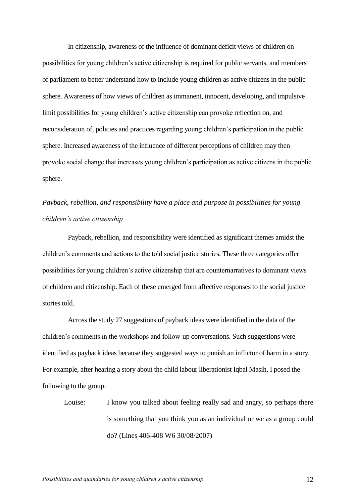In citizenship, awareness of the influence of dominant deficit views of children on possibilities for young children's active citizenship is required for public servants, and members of parliament to better understand how to include young children as active citizens in the public sphere. Awareness of how views of children as immanent, innocent, developing, and impulsive limit possibilities for young children's active citizenship can provoke reflection on, and reconsideration of, policies and practices regarding young children's participation in the public sphere. Increased awareness of the influence of different perceptions of children may then provoke social change that increases young children's participation as active citizens in the public sphere.

# *Payback, rebellion, and responsibility have a place and purpose in possibilities for young children's active citizenship*

Payback, rebellion, and responsibility were identified as significant themes amidst the children's comments and actions to the told social justice stories. These three categories offer possibilities for young children's active citizenship that are counternarratives to dominant views of children and citizenship. Each of these emerged from affective responses to the social justice stories told.

Across the study 27 suggestions of payback ideas were identified in the data of the children's comments in the workshops and follow-up conversations. Such suggestions were identified as payback ideas because they suggested ways to punish an inflictor of harm in a story. For example, after hearing a story about the child labour liberationist Iqbal Masih, I posed the following to the group:

Louise: I know you talked about feeling really sad and angry, so perhaps there is something that you think you as an individual or we as a group could do? (Lines 406-408 W6 30/08/2007)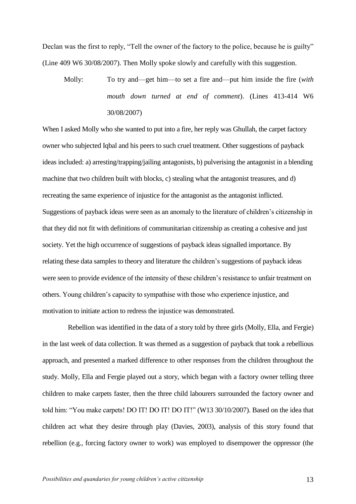Declan was the first to reply, "Tell the owner of the factory to the police, because he is guilty" (Line 409 W6 30/08/2007). Then Molly spoke slowly and carefully with this suggestion.

Molly: To try and—get him—to set a fire and—put him inside the fire (*with mouth down turned at end of comment*). (Lines 413-414 W6 30/08/2007)

When I asked Molly who she wanted to put into a fire, her reply was Ghullah, the carpet factory owner who subjected Iqbal and his peers to such cruel treatment. Other suggestions of payback ideas included: a) arresting/trapping/jailing antagonists, b) pulverising the antagonist in a blending machine that two children built with blocks, c) stealing what the antagonist treasures, and d) recreating the same experience of injustice for the antagonist as the antagonist inflicted. Suggestions of payback ideas were seen as an anomaly to the literature of children's citizenship in that they did not fit with definitions of communitarian citizenship as creating a cohesive and just society. Yet the high occurrence of suggestions of payback ideas signalled importance. By relating these data samples to theory and literature the children's suggestions of payback ideas were seen to provide evidence of the intensity of these children's resistance to unfair treatment on others. Young children's capacity to sympathise with those who experience injustice, and motivation to initiate action to redress the injustice was demonstrated.

Rebellion was identified in the data of a story told by three girls (Molly, Ella, and Fergie) in the last week of data collection. It was themed as a suggestion of payback that took a rebellious approach, and presented a marked difference to other responses from the children throughout the study. Molly, Ella and Fergie played out a story, which began with a factory owner telling three children to make carpets faster, then the three child labourers surrounded the factory owner and told him: "You make carpets! DO IT! DO IT! DO IT!" (W13 30/10/2007). Based on the idea that children act what they desire through play (Davies, 2003), analysis of this story found that rebellion (e.g., forcing factory owner to work) was employed to disempower the oppressor (the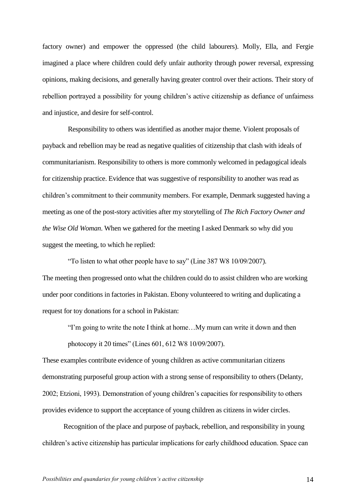factory owner) and empower the oppressed (the child labourers). Molly, Ella, and Fergie imagined a place where children could defy unfair authority through power reversal, expressing opinions, making decisions, and generally having greater control over their actions. Their story of rebellion portrayed a possibility for young children's active citizenship as defiance of unfairness and injustice, and desire for self-control.

Responsibility to others was identified as another major theme. Violent proposals of payback and rebellion may be read as negative qualities of citizenship that clash with ideals of communitarianism. Responsibility to others is more commonly welcomed in pedagogical ideals for citizenship practice. Evidence that was suggestive of responsibility to another was read as children's commitment to their community members. For example, Denmark suggested having a meeting as one of the post-story activities after my storytelling of *The Rich Factory Owner and the Wise Old Woman*. When we gathered for the meeting I asked Denmark so why did you suggest the meeting, to which he replied:

―To listen to what other people have to say‖ (Line 387 W8 10/09/2007). The meeting then progressed onto what the children could do to assist children who are working under poor conditions in factories in Pakistan. Ebony volunteered to writing and duplicating a request for toy donations for a school in Pakistan:

―I'm going to write the note I think at home…My mum can write it down and then photocopy it 20 times" (Lines 601, 612 W8 10/09/2007).

These examples contribute evidence of young children as active communitarian citizens demonstrating purposeful group action with a strong sense of responsibility to others (Delanty, 2002; Etzioni, 1993). Demonstration of young children's capacities for responsibility to others provides evidence to support the acceptance of young children as citizens in wider circles.

Recognition of the place and purpose of payback, rebellion, and responsibility in young children's active citizenship has particular implications for early childhood education. Space can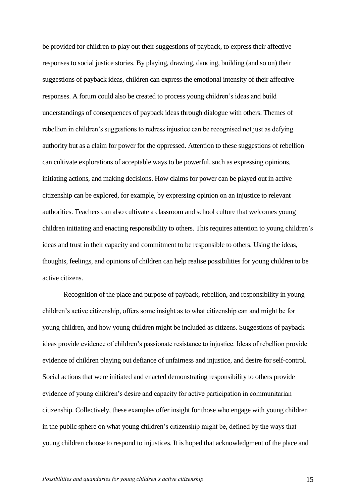be provided for children to play out their suggestions of payback, to express their affective responses to social justice stories. By playing, drawing, dancing, building (and so on) their suggestions of payback ideas, children can express the emotional intensity of their affective responses. A forum could also be created to process young children's ideas and build understandings of consequences of payback ideas through dialogue with others. Themes of rebellion in children's suggestions to redress injustice can be recognised not just as defying authority but as a claim for power for the oppressed. Attention to these suggestions of rebellion can cultivate explorations of acceptable ways to be powerful, such as expressing opinions, initiating actions, and making decisions. How claims for power can be played out in active citizenship can be explored, for example, by expressing opinion on an injustice to relevant authorities. Teachers can also cultivate a classroom and school culture that welcomes young children initiating and enacting responsibility to others. This requires attention to young children's ideas and trust in their capacity and commitment to be responsible to others. Using the ideas, thoughts, feelings, and opinions of children can help realise possibilities for young children to be active citizens.

Recognition of the place and purpose of payback, rebellion, and responsibility in young children's active citizenship, offers some insight as to what citizenship can and might be for young children, and how young children might be included as citizens. Suggestions of payback ideas provide evidence of children's passionate resistance to injustice. Ideas of rebellion provide evidence of children playing out defiance of unfairness and injustice, and desire for self-control. Social actions that were initiated and enacted demonstrating responsibility to others provide evidence of young children's desire and capacity for active participation in communitarian citizenship. Collectively, these examples offer insight for those who engage with young children in the public sphere on what young children's citizenship might be, defined by the ways that young children choose to respond to injustices. It is hoped that acknowledgment of the place and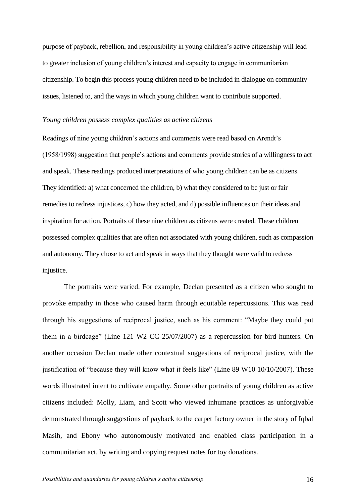purpose of payback, rebellion, and responsibility in young children's active citizenship will lead to greater inclusion of young children's interest and capacity to engage in communitarian citizenship. To begin this process young children need to be included in dialogue on community issues, listened to, and the ways in which young children want to contribute supported.

### *Young children possess complex qualities as active citizens*

Readings of nine young children's actions and comments were read based on Arendt's (1958/1998) suggestion that people's actions and comments provide stories of a willingness to act and speak. These readings produced interpretations of who young children can be as citizens. They identified: a) what concerned the children, b) what they considered to be just or fair remedies to redress injustices, c) how they acted, and d) possible influences on their ideas and inspiration for action. Portraits of these nine children as citizens were created. These children possessed complex qualities that are often not associated with young children, such as compassion and autonomy. They chose to act and speak in ways that they thought were valid to redress injustice.

The portraits were varied. For example, Declan presented as a citizen who sought to provoke empathy in those who caused harm through equitable repercussions. This was read through his suggestions of reciprocal justice, such as his comment: "Maybe they could put them in a birdcage" (Line 121 W2 CC 25/07/2007) as a repercussion for bird hunters. On another occasion Declan made other contextual suggestions of reciprocal justice, with the justification of "because they will know what it feels like" (Line 89 W10 10/10/2007). These words illustrated intent to cultivate empathy. Some other portraits of young children as active citizens included: Molly, Liam, and Scott who viewed inhumane practices as unforgivable demonstrated through suggestions of payback to the carpet factory owner in the story of Iqbal Masih, and Ebony who autonomously motivated and enabled class participation in a communitarian act, by writing and copying request notes for toy donations.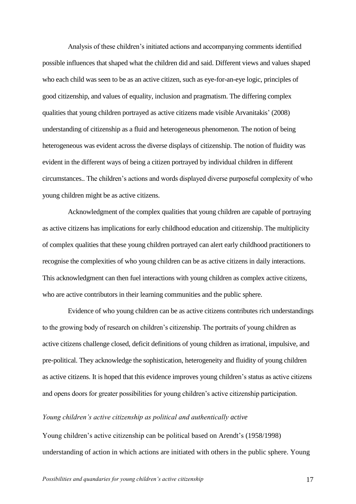Analysis of these children's initiated actions and accompanying comments identified possible influences that shaped what the children did and said. Different views and values shaped who each child was seen to be as an active citizen, such as eye-for-an-eye logic, principles of good citizenship, and values of equality, inclusion and pragmatism. The differing complex qualities that young children portrayed as active citizens made visible Arvanitakis' (2008) understanding of citizenship as a fluid and heterogeneous phenomenon. The notion of being heterogeneous was evident across the diverse displays of citizenship. The notion of fluidity was evident in the different ways of being a citizen portrayed by individual children in different circumstances.. The children's actions and words displayed diverse purposeful complexity of who young children might be as active citizens.

Acknowledgment of the complex qualities that young children are capable of portraying as active citizens has implications for early childhood education and citizenship. The multiplicity of complex qualities that these young children portrayed can alert early childhood practitioners to recognise the complexities of who young children can be as active citizens in daily interactions. This acknowledgment can then fuel interactions with young children as complex active citizens, who are active contributors in their learning communities and the public sphere.

Evidence of who young children can be as active citizens contributes rich understandings to the growing body of research on children's citizenship. The portraits of young children as active citizens challenge closed, deficit definitions of young children as irrational, impulsive, and pre-political. They acknowledge the sophistication, heterogeneity and fluidity of young children as active citizens. It is hoped that this evidence improves young children's status as active citizens and opens doors for greater possibilities for young children's active citizenship participation.

## *Young children's active citizenship as political and authentically active*

Young children's active citizenship can be political based on Arendt's (1958/1998) understanding of action in which actions are initiated with others in the public sphere. Young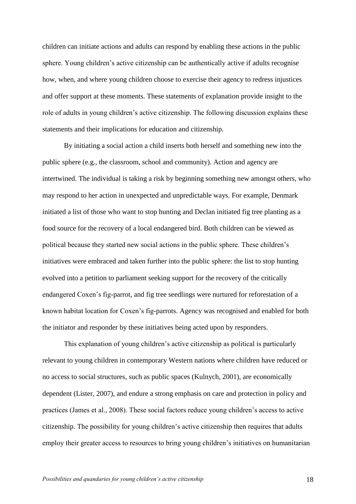children can initiate actions and adults can respond by enabling these actions in the public sphere. Young children's active citizenship can be authentically active if adults recognise how, when, and where young children choose to exercise their agency to redress injustices and offer support at these moments. These statements of explanation provide insight to the role of adults in young children's active citizenship. The following discussion explains these statements and their implications for education and citizenship.

By initiating a social action a child inserts both herself and something new into the public sphere (e.g., the classroom, school and community). Action and agency are intertwined. The individual is taking a risk by beginning something new amongst others, who may respond to her action in unexpected and unpredictable ways. For example, Denmark initiated a list of those who want to stop hunting and Declan initiated fig tree planting as a food source for the recovery of a local endangered bird. Both children can be viewed as political because they started new social actions in the public sphere. These children's initiatives were embraced and taken further into the public sphere: the list to stop hunting evolved into a petition to parliament seeking support for the recovery of the critically endangered Coxen's fig-parrot, and fig tree seedlings were nurtured for reforestation of a known habitat location for Coxen's fig-parrots. Agency was recognised and enabled for both the initiator and responder by these initiatives being acted upon by responders.

This explanation of young children's active citizenship as political is particularly relevant to young children in contemporary Western nations where children have reduced or no access to social structures, such as public spaces (Kulnych, 2001), are economically dependent (Lister, 2007), and endure a strong emphasis on care and protection in policy and practices (James et al., 2008). These social factors reduce young children's access to active citizenship. The possibility for young children's active citizenship then requires that adults employ their greater access to resources to bring young children's initiatives on humanitarian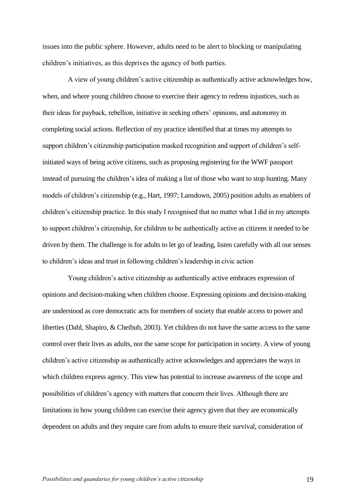issues into the public sphere. However, adults need to be alert to blocking or manipulating children's initiatives, as this deprives the agency of both parties.

A view of young children's active citizenship as authentically active acknowledges how, when, and where young children choose to exercise their agency to redress injustices, such as their ideas for payback, rebellion, initiative in seeking others' opinions, and autonomy in completing social actions. Reflection of my practice identified that at times my attempts to support children's citizenship participation masked recognition and support of children's selfinitiated ways of being active citizens, such as proposing registering for the WWF passport instead of pursuing the children's idea of making a list of those who want to stop hunting. Many models of children's citizenship (e.g., Hart, 1997; Lansdown, 2005) position adults as enablers of children's citizenship practice. In this study I recognised that no matter what I did in my attempts to support children's citizenship, for children to be authentically active as citizens it needed to be driven by them. The challenge is for adults to let go of leading, listen carefully with all our senses to children's ideas and trust in following children's leadership in civic action

Young children's active citizenship as authentically active embraces expression of opinions and decision-making when children choose. Expressing opinions and decision-making are understood as core democratic acts for members of society that enable access to power and liberties (Dahl, Shapiro, & Cheibub, 2003). Yet children do not have the same access to the same control over their lives as adults, nor the same scope for participation in society. A view of young children's active citizenship as authentically active acknowledges and appreciates the ways in which children express agency. This view has potential to increase awareness of the scope and possibilities of children's agency with matters that concern their lives. Although there are limitations in how young children can exercise their agency given that they are economically dependent on adults and they require care from adults to ensure their survival, consideration of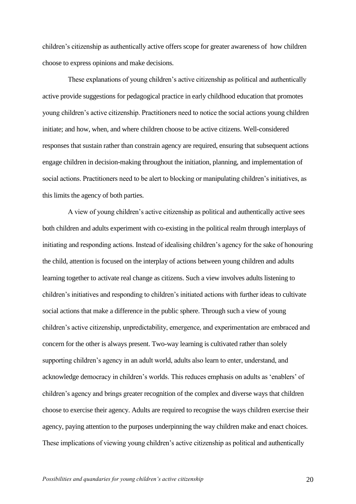children's citizenship as authentically active offers scope for greater awareness of how children choose to express opinions and make decisions.

These explanations of young children's active citizenship as political and authentically active provide suggestions for pedagogical practice in early childhood education that promotes young children's active citizenship. Practitioners need to notice the social actions young children initiate; and how, when, and where children choose to be active citizens. Well-considered responses that sustain rather than constrain agency are required, ensuring that subsequent actions engage children in decision-making throughout the initiation, planning, and implementation of social actions. Practitioners need to be alert to blocking or manipulating children's initiatives, as this limits the agency of both parties.

A view of young children's active citizenship as political and authentically active sees both children and adults experiment with co-existing in the political realm through interplays of initiating and responding actions. Instead of idealising children's agency for the sake of honouring the child, attention is focused on the interplay of actions between young children and adults learning together to activate real change as citizens. Such a view involves adults listening to children's initiatives and responding to children's initiated actions with further ideas to cultivate social actions that make a difference in the public sphere. Through such a view of young children's active citizenship, unpredictability, emergence, and experimentation are embraced and concern for the other is always present. Two-way learning is cultivated rather than solely supporting children's agency in an adult world, adults also learn to enter, understand, and acknowledge democracy in children's worlds. This reduces emphasis on adults as 'enablers' of children's agency and brings greater recognition of the complex and diverse ways that children choose to exercise their agency. Adults are required to recognise the ways children exercise their agency, paying attention to the purposes underpinning the way children make and enact choices. These implications of viewing young children's active citizenship as political and authentically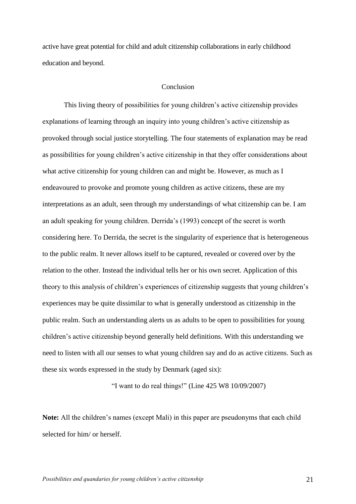active have great potential for child and adult citizenship collaborations in early childhood education and beyond.

### Conclusion

This living theory of possibilities for young children's active citizenship provides explanations of learning through an inquiry into young children's active citizenship as provoked through social justice storytelling. The four statements of explanation may be read as possibilities for young children's active citizenship in that they offer considerations about what active citizenship for young children can and might be. However, as much as I endeavoured to provoke and promote young children as active citizens, these are my interpretations as an adult, seen through my understandings of what citizenship can be. I am an adult speaking for young children. Derrida's (1993) concept of the secret is worth considering here. To Derrida, the secret is the singularity of experience that is heterogeneous to the public realm. It never allows itself to be captured, revealed or covered over by the relation to the other. Instead the individual tells her or his own secret. Application of this theory to this analysis of children's experiences of citizenship suggests that young children's experiences may be quite dissimilar to what is generally understood as citizenship in the public realm. Such an understanding alerts us as adults to be open to possibilities for young children's active citizenship beyond generally held definitions. With this understanding we need to listen with all our senses to what young children say and do as active citizens. Such as these six words expressed in the study by Denmark (aged six):

"I want to do real things!" (Line  $425$  W8  $10/09/2007$ )

**Note:** All the children's names (except Mali) in this paper are pseudonyms that each child selected for him/ or herself.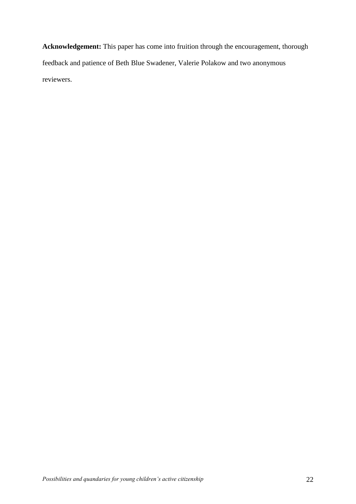**Acknowledgement:** This paper has come into fruition through the encouragement, thorough feedback and patience of Beth Blue Swadener, Valerie Polakow and two anonymous reviewers.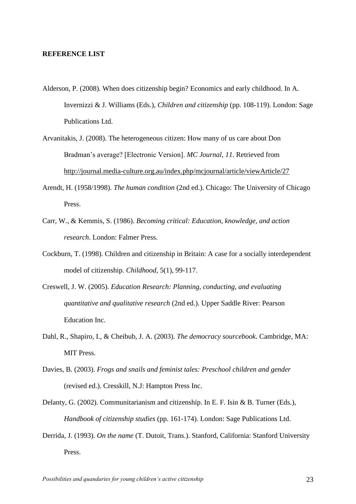### **REFERENCE LIST**

- Alderson, P. (2008). When does citizenship begin? Economics and early childhood. In A. Invernizzi & J. Williams (Eds.), *Children and citizenship* (pp. 108-119). London: Sage Publications Ltd.
- Arvanitakis, J. (2008). The heterogeneous citizen: How many of us care about Don Bradman's average? [Electronic Version]. *MC Journal*, *11*. Retrieved from http://journal.media-culture.org.au/index.php/mcjournal/article/viewArticle/27
- Arendt, H. (1958/1998). *The human condition* (2nd ed.). Chicago: The University of Chicago Press.
- Carr, W., & Kemmis, S. (1986). *Becoming critical: Education, knowledge, and action research*. London: Falmer Press.
- Cockburn, T. (1998). Children and citizenship in Britain: A case for a socially interdependent model of citizenship. *Childhood,* 5(1), 99-117.
- Creswell, J. W. (2005). *Education Research: Planning, conducting, and evaluating quantitative and qualitative research* (2nd ed.). Upper Saddle River: Pearson Education Inc.
- Dahl, R., Shapiro, I., & Cheibub, J. A. (2003). *The democracy sourcebook*. Cambridge, MA: MIT Press.
- Davies, B. (2003). *Frogs and snails and feminist tales: Preschool children and gender* (revised ed.). Cresskill, N.J: Hampton Press Inc.
- Delanty, G. (2002). Communitarianism and citizenship. In E. F. Isin & B. Turner (Eds.), *Handbook of citizenship studies* (pp. 161-174). London: Sage Publications Ltd.
- Derrida, J. (1993). *On the name* (T. Dutoit, Trans.). Stanford, California: Stanford University Press.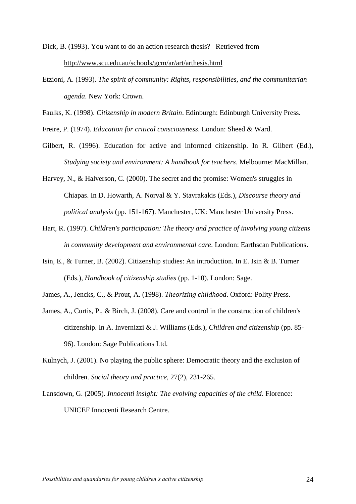Dick, B. (1993). You want to do an action research thesis? Retrieved from http://www.scu.edu.au/schools/gcm/ar/art/arthesis.html

Etzioni, A. (1993). *The spirit of community: Rights, responsibilities, and the communitarian agenda*. New York: Crown.

Faulks, K. (1998). *Citizenship in modern Britain*. Edinburgh: Edinburgh University Press.

Freire, P. (1974). *Education for critical consciousness*. London: Sheed & Ward.

- Gilbert, R. (1996). Education for active and informed citizenship. In R. Gilbert (Ed.), *Studying society and environment: A handbook for teachers*. Melbourne: MacMillan.
- Harvey, N., & Halverson, C. (2000). The secret and the promise: Women's struggles in Chiapas. In D. Howarth, A. Norval & Y. Stavrakakis (Eds.), *Discourse theory and political analysis* (pp. 151-167). Manchester, UK: Manchester University Press.
- Hart, R. (1997). *Children's participation: The theory and practice of involving young citizens in community development and environmental care*. London: Earthscan Publications.
- Isin, E., & Turner, B. (2002). Citizenship studies: An introduction. In E. Isin & B. Turner (Eds.), *Handbook of citizenship studies* (pp. 1-10). London: Sage.
- James, A., Jencks, C., & Prout, A. (1998). *Theorizing childhood*. Oxford: Polity Press.
- James, A., Curtis, P., & Birch, J. (2008). Care and control in the construction of children's citizenship. In A. Invernizzi & J. Williams (Eds.), *Children and citizenship* (pp. 85- 96). London: Sage Publications Ltd.
- Kulnych, J. (2001). No playing the public sphere: Democratic theory and the exclusion of children. *Social theory and practice,* 27(2), 231-265.
- Lansdown, G. (2005). *Innocenti insight: The evolving capacities of the child*. Florence: UNICEF Innocenti Research Centre.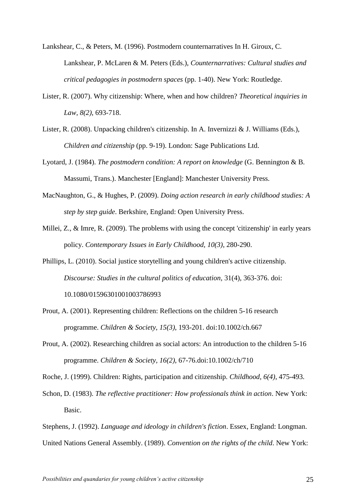Lankshear, C., & Peters, M. (1996). Postmodern counternarratives In H. Giroux, C. Lankshear, P. McLaren & M. Peters (Eds.), *Counternarratives: Cultural studies and critical pedagogies in postmodern spaces* (pp. 1-40). New York: Routledge.

- Lister, R. (2007). Why citizenship: Where, when and how children? *Theoretical inquiries in Law, 8(2)*, 693-718.
- Lister, R. (2008). Unpacking children's citizenship. In A. Invernizzi & J. Williams (Eds.), *Children and citizenship* (pp. 9-19). London: Sage Publications Ltd.
- Lyotard, J. (1984). *The postmodern condition: A report on knowledge* (G. Bennington & B. Massumi, Trans.). Manchester [England]: Manchester University Press.
- MacNaughton, G., & Hughes, P. (2009). *Doing action research in early childhood studies: A step by step guide*. Berkshire, England: Open University Press.
- Millei, Z., & Imre, R. (2009). The problems with using the concept 'citizenship' in early years policy. *Contemporary Issues in Early Childhood, 10(3)*, 280-290.
- Phillips, L. (2010). Social justice storytelling and young children's active citizenship. *Discourse: Studies in the cultural politics of education,* 31(4), 363-376. doi: 10.1080/01596301001003786993
- Prout, A. (2001). Representing children: Reflections on the children 5-16 research programme. *Children & Society, 15(3)*, 193-201. doi:10.1002/ch.667
- Prout, A. (2002). Researching children as social actors: An introduction to the children 5-16 programme. *Children & Society, 16(2)*, 67-76.doi:10.1002/ch/710
- Roche, J. (1999). Children: Rights, participation and citizenship. *Childhood, 6(4)*, 475-493.
- Schon, D. (1983). *The reflective practitioner: How professionals think in action*. New York: Basic.

Stephens, J. (1992). *Language and ideology in children's fiction*. Essex, England: Longman. United Nations General Assembly. (1989). *Convention on the rights of the child*. New York: